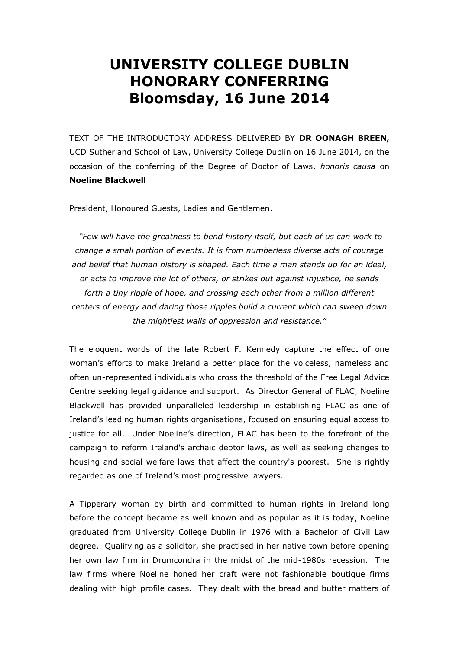## **UNIVERSITY COLLEGE DUBLIN HONORARY CONFERRING Bloomsday, 16 June 2014**

TEXT OF THE INTRODUCTORY ADDRESS DELIVERED BY **DR OONAGH BREEN,**  UCD Sutherland School of Law, University College Dublin on 16 June 2014, on the occasion of the conferring of the Degree of Doctor of Laws, *honoris causa* on **Noeline Blackwell**

President, Honoured Guests, Ladies and Gentlemen.

*"Few will have the greatness to bend history itself, but each of us can work to change a small portion of events. It is from numberless diverse acts of courage and belief that human history is shaped. Each time a man stands up for an ideal, or acts to improve the lot of others, or strikes out against injustice, he sends forth a tiny ripple of hope, and crossing each other from a million different centers of energy and daring those ripples build a current which can sweep down the mightiest walls of oppression and resistance."* 

The eloquent words of the late Robert F. Kennedy capture the effect of one woman's efforts to make Ireland a better place for the voiceless, nameless and often un-represented individuals who cross the threshold of the Free Legal Advice Centre seeking legal guidance and support. As Director General of FLAC, Noeline Blackwell has provided unparalleled leadership in establishing FLAC as one of Ireland's leading human rights organisations, focused on ensuring equal access to justice for all. Under Noeline's direction, FLAC has been to the forefront of the campaign to reform Ireland's archaic debtor laws, as well as seeking changes to housing and social welfare laws that affect the country's poorest. She is rightly regarded as one of Ireland's most progressive lawyers.

A Tipperary woman by birth and committed to human rights in Ireland long before the concept became as well known and as popular as it is today, Noeline graduated from University College Dublin in 1976 with a Bachelor of Civil Law degree. Qualifying as a solicitor, she practised in her native town before opening her own law firm in Drumcondra in the midst of the mid-1980s recession. The law firms where Noeline honed her craft were not fashionable boutique firms dealing with high profile cases. They dealt with the bread and butter matters of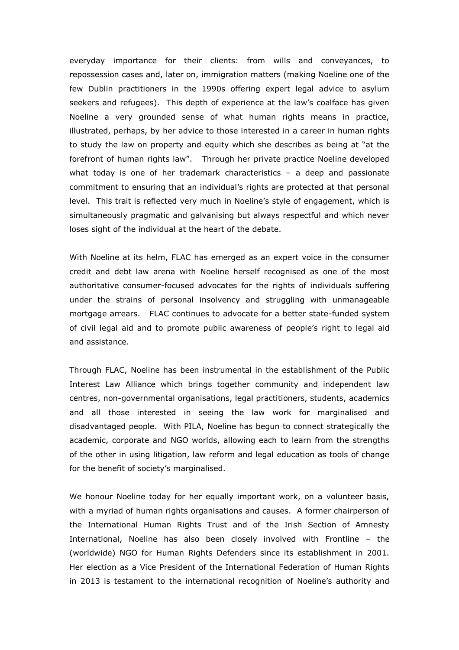everyday importance for their clients: from wills and conveyances, to repossession cases and, later on, immigration matters (making Noeline one of the few Dublin practitioners in the 1990s offering expert legal advice to asylum seekers and refugees). This depth of experience at the law's coalface has given Noeline a very grounded sense of what human rights means in practice, illustrated, perhaps, by her advice to those interested in a career in human rights to study the law on property and equity which she describes as being at "at the forefront of human rights law". Through her private practice Noeline developed what today is one of her trademark characteristics – a deep and passionate commitment to ensuring that an individual's rights are protected at that personal level. This trait is reflected very much in Noeline's style of engagement, which is simultaneously pragmatic and galvanising but always respectful and which never loses sight of the individual at the heart of the debate.

With Noeline at its helm, FLAC has emerged as an expert voice in the consumer credit and debt law arena with Noeline herself recognised as one of the most authoritative consumer-focused advocates for the rights of individuals suffering under the strains of personal insolvency and struggling with unmanageable mortgage arrears. FLAC continues to advocate for a better state-funded system of civil legal aid and to promote public awareness of people's right to legal aid and assistance.

Through FLAC, Noeline has been instrumental in the establishment of the Public Interest Law Alliance which brings together community and independent law centres, non-governmental organisations, legal practitioners, students, academics and all those interested in seeing the law work for marginalised and disadvantaged people. With PILA, Noeline has begun to connect strategically the academic, corporate and NGO worlds, allowing each to learn from the strengths of the other in using litigation, law reform and legal education as tools of change for the benefit of society's marginalised.

We honour Noeline today for her equally important work, on a volunteer basis, with a myriad of human rights organisations and causes. A former chairperson of the International Human Rights Trust and of the Irish Section of Amnesty International, Noeline has also been closely involved with Frontline – the (worldwide) NGO for Human Rights Defenders since its establishment in 2001. Her election as a Vice President of the International Federation of Human Rights in 2013 is testament to the international recognition of Noeline's authority and